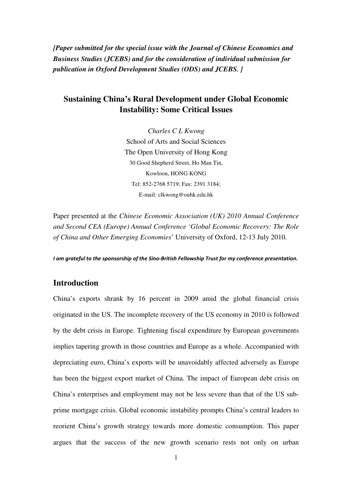*[Paper submitted for the special issue with the Journal of Chinese Economics and Business Studies (JCEBS) and for the consideration of individual submission for publication in Oxford Development Studies (ODS) and JCEBS. ]*

# **Sustaining China's Rural Development under Global Economic Instability: Some Critical Issues**

*Charles C L Kwong*  School of Arts and Social Sciences The Open University of Hong Kong 30 Good Shepherd Street, Ho Man Tin, Kowloon, HONG KONG Tel: 852-2768 5719; Fax: 2391 3184; E-mail: clkwong@ouhk.edu.hk

Paper presented at the *Chinese Economic Association (UK) 2010 Annual Conference and Second CEA (Europe) Annual Conference 'Global Economic Recovery: The Role of China and Other Emerging Economies*' University of Oxford, 12-13 July 2010.

I am grateful to the sponsorship of the Sino-British Fellowship Trust for my conference presentation.

## **Introduction**

China's exports shrank by 16 percent in 2009 amid the global financial crisis originated in the US. The incomplete recovery of the US economy in 2010 is followed by the debt crisis in Europe. Tightening fiscal expenditure by European governments implies tapering growth in those countries and Europe as a whole. Accompanied with depreciating euro, China's exports will be unavoidably affected adversely as Europe has been the biggest export market of China. The impact of European debt crisis on China's enterprises and employment may not be less severe than that of the US subprime mortgage crisis. Global economic instability prompts China's central leaders to reorient China's growth strategy towards more domestic consumption. This paper argues that the success of the new growth scenario rests not only on urban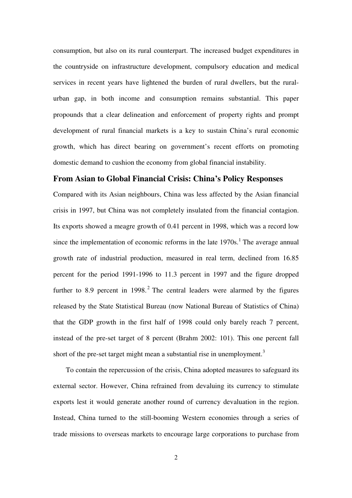consumption, but also on its rural counterpart. The increased budget expenditures in the countryside on infrastructure development, compulsory education and medical services in recent years have lightened the burden of rural dwellers, but the ruralurban gap, in both income and consumption remains substantial. This paper propounds that a clear delineation and enforcement of property rights and prompt development of rural financial markets is a key to sustain China's rural economic growth, which has direct bearing on government's recent efforts on promoting domestic demand to cushion the economy from global financial instability.

## **From Asian to Global Financial Crisis: China's Policy Responses**

Compared with its Asian neighbours, China was less affected by the Asian financial crisis in 1997, but China was not completely insulated from the financial contagion. Its exports showed a meagre growth of 0.41 percent in 1998, which was a record low since the implementation of economic reforms in the late  $1970s$ .<sup>1</sup> The average annual growth rate of industrial production, measured in real term, declined from 16.85 percent for the period 1991-1996 to 11.3 percent in 1997 and the figure dropped further to 8.9 percent in 1998.<sup>2</sup> The central leaders were alarmed by the figures released by the State Statistical Bureau (now National Bureau of Statistics of China) that the GDP growth in the first half of 1998 could only barely reach 7 percent, instead of the pre-set target of 8 percent (Brahm 2002: 101). This one percent fall short of the pre-set target might mean a substantial rise in unemployment.<sup>3</sup>

To contain the repercussion of the crisis, China adopted measures to safeguard its external sector. However, China refrained from devaluing its currency to stimulate exports lest it would generate another round of currency devaluation in the region. Instead, China turned to the still-booming Western economies through a series of trade missions to overseas markets to encourage large corporations to purchase from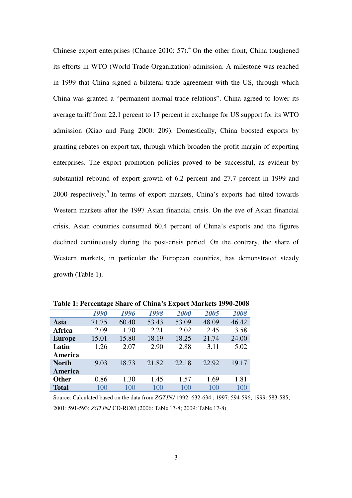Chinese export enterprises (Chance 2010:  $57$ ).<sup>4</sup> On the other front, China toughened its efforts in WTO (World Trade Organization) admission. A milestone was reached in 1999 that China signed a bilateral trade agreement with the US, through which China was granted a "permanent normal trade relations". China agreed to lower its average tariff from 22.1 percent to 17 percent in exchange for US support for its WTO admission (Xiao and Fang 2000: 209). Domestically, China boosted exports by granting rebates on export tax, through which broaden the profit margin of exporting enterprises. The export promotion policies proved to be successful, as evident by substantial rebound of export growth of 6.2 percent and 27.7 percent in 1999 and 2000 respectively.<sup>5</sup> In terms of export markets, China's exports had tilted towards Western markets after the 1997 Asian financial crisis. On the eve of Asian financial crisis, Asian countries consumed 60.4 percent of China's exports and the figures declined continuously during the post-crisis period. On the contrary, the share of Western markets, in particular the European countries, has demonstrated steady growth (Table 1).

| Table 1. I creditage bliare or Cliffia 5 Export markets 1770-2000 |       |       |       |       |       |       |
|-------------------------------------------------------------------|-------|-------|-------|-------|-------|-------|
|                                                                   | 1990  | 1996  | 1998  | 2000  | 2005  | 2008  |
| Asia                                                              | 71.75 | 60.40 | 53.43 | 53.09 | 48.09 | 46.42 |
| Africa                                                            | 2.09  | 1.70  | 2.21  | 2.02  | 2.45  | 3.58  |
| <b>Europe</b>                                                     | 15.01 | 15.80 | 18.19 | 18.25 | 21.74 | 24.00 |
| Latin                                                             | 1.26  | 2.07  | 2.90  | 2.88  | 3.11  | 5.02  |
| America                                                           |       |       |       |       |       |       |
| <b>North</b>                                                      | 9.03  | 18.73 | 21.82 | 22.18 | 22.92 | 19.17 |
| America                                                           |       |       |       |       |       |       |
| <b>Other</b>                                                      | 0.86  | 1.30  | 1.45  | 1.57  | 1.69  | 1.81  |
| <b>Total</b>                                                      | 100   | 100   | 100   | 100   | 100   | 100   |

**Table 1: Percentage Share of China's Export Markets 1990-2008** 

Source: Calculated based on the data from *ZGTJNJ* 1992: 632-634 ; 1997: 594-596; 1999: 583-585; 2001: 591-593; *ZGTJNJ* CD-ROM (2006: Table 17-8; 2009: Table 17-8)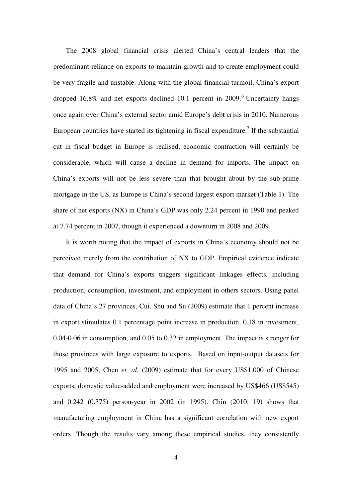The 2008 global financial crisis alerted China's central leaders that the predominant reliance on exports to maintain growth and to create employment could be very fragile and unstable. Along with the global financial turmoil, China's export dropped 16.8% and net exports declined 10.1 percent in 2009.<sup>6</sup> Uncertainty hangs once again over China's external sector amid Europe's debt crisis in 2010. Numerous European countries have started its tightening in fiscal expenditure.<sup>7</sup> If the substantial cut in fiscal budget in Europe is realised, economic contraction will certainly be considerable, which will cause a decline in demand for imports. The impact on China's exports will not be less severe than that brought about by the sub-prime mortgage in the US, as Europe is China's second largest export market (Table 1). The share of net exports (NX) in China's GDP was only 2.24 percent in 1990 and peaked at 7.74 percent in 2007, though it experienced a downturn in 2008 and 2009.

It is worth noting that the impact of exports in China's economy should not be perceived merely from the contribution of NX to GDP. Empirical evidence indicate that demand for China's exports triggers significant linkages effects, including production, consumption, investment, and employment in others sectors. Using panel data of China's 27 provinces, Cui, Shu and Su (2009) estimate that 1 percent increase in export stimulates 0.1 percentage point increase in production, 0.18 in investment, 0.04-0.06 in consumption, and 0.05 to 0.32 in employment. The impact is stronger for those provinces with large exposure to exports. Based on input-output datasets for 1995 and 2005, Chen *et. al.* (2009) estimate that for every US\$1,000 of Chinese exports, domestic value-added and employment were increased by US\$466 (US\$545) and 0.242 (0.375) person-year in 2002 (in 1995). Chin (2010: 19) shows that manufacturing employment in China has a significant correlation with new export orders. Though the results vary among these empirical studies, they consistently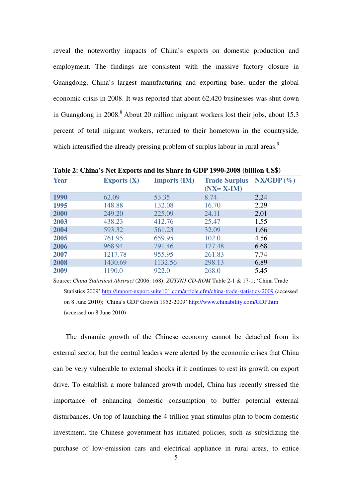reveal the noteworthy impacts of China's exports on domestic production and employment. The findings are consistent with the massive factory closure in Guangdong, China's largest manufacturing and exporting base, under the global economic crisis in 2008. It was reported that about 62,420 businesses was shut down in Guangdong in 2008.<sup>8</sup> About 20 million migrant workers lost their jobs, about 15.3 percent of total migrant workers, returned to their hometown in the countryside, which intensified the already pressing problem of surplus labour in rural areas.<sup>9</sup>

|             | <b>Lavic 2.</b> China S Net Exports and its phare in ODI 1770-2000 (Dimon Co <sub>9</sub> ) |                     |                                       |                       |  |  |  |
|-------------|---------------------------------------------------------------------------------------------|---------------------|---------------------------------------|-----------------------|--|--|--|
| <b>Year</b> | Exports $(X)$                                                                               | <b>Imports (IM)</b> | <b>Trade Surplus</b><br>$(NX = X-IM)$ | $\mathbf{NX/GDP}(\%)$ |  |  |  |
| 1990        | 62.09                                                                                       | 53.35               | 8.74                                  | 2.24                  |  |  |  |
| 1995        | 148.88                                                                                      | 132.08              | 16.70                                 | 2.29                  |  |  |  |
| 2000        | 249.20                                                                                      | 225.09              | 24.11                                 | 2.01                  |  |  |  |
| 2003        | 438.23                                                                                      | 412.76              | 25.47                                 | 1.55                  |  |  |  |
| 2004        | 593.32                                                                                      | 561.23              | 32.09                                 | 1.66                  |  |  |  |
| 2005        | 761.95                                                                                      | 659.95              | 102.0                                 | 4.56                  |  |  |  |
| 2006        | 968.94                                                                                      | 791.46              | 177.48                                | 6.68                  |  |  |  |
| 2007        | 1217.78                                                                                     | 955.95              | 261.83                                | 7.74                  |  |  |  |
| 2008        | 1430.69                                                                                     | 1132.56             | 298.13                                | 6.89                  |  |  |  |
| 2009        | 1190.0                                                                                      | 922.0               | 268.0                                 | 5.45                  |  |  |  |

**Table 2: China's Net Exports and its Share in GDP 1990-2008 (billion US\$)** 

Source: *China Statistical Abstract* (2006: 168); *ZGTJNJ CD-ROM* Table 2-1 & 17-1; 'China Trade Statistics 2009' http://import-export.suite101.com/article.cfm/china-trade-statistics-2009 (accessed on 8 June 2010); 'China's GDP Growth 1952-2009' http://www.chinability.com/GDP.htm (accessed on 8 June 2010)

The dynamic growth of the Chinese economy cannot be detached from its external sector, but the central leaders were alerted by the economic crises that China can be very vulnerable to external shocks if it continues to rest its growth on export drive. To establish a more balanced growth model, China has recently stressed the importance of enhancing domestic consumption to buffer potential external disturbances. On top of launching the 4-trillion yuan stimulus plan to boom domestic investment, the Chinese government has initiated policies, such as subsidizing the purchase of low-emission cars and electrical appliance in rural areas, to entice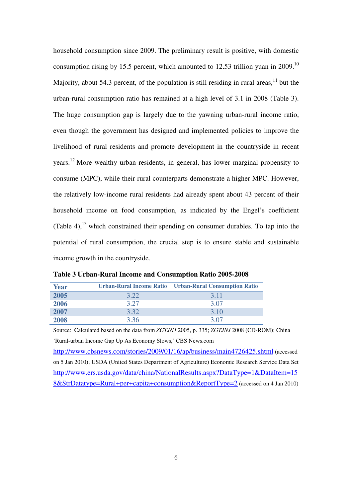household consumption since 2009. The preliminary result is positive, with domestic consumption rising by 15.5 percent, which amounted to 12.53 trillion yuan in 2009.<sup>10</sup> Majority, about 54.3 percent, of the population is still residing in rural areas, $11$  but the urban-rural consumption ratio has remained at a high level of 3.1 in 2008 (Table 3). The huge consumption gap is largely due to the yawning urban-rural income ratio, even though the government has designed and implemented policies to improve the livelihood of rural residents and promote development in the countryside in recent years.<sup>12</sup> More wealthy urban residents, in general, has lower marginal propensity to consume (MPC), while their rural counterparts demonstrate a higher MPC. However, the relatively low-income rural residents had already spent about 43 percent of their household income on food consumption, as indicated by the Engel's coefficient (Table 4),  $^{13}$  which constrained their spending on consumer durables. To tap into the potential of rural consumption, the crucial step is to ensure stable and sustainable income growth in the countryside.

| <b>Year</b> |      | Urban-Rural Income Ratio Urban-Rural Consumption Ratio |
|-------------|------|--------------------------------------------------------|
| 2005        | 3.22 | 3.11                                                   |
| 2006        | 3.27 | 3.07                                                   |
| 2007        | 3.32 | 3.10                                                   |
| 2008        | 3.36 | 3.07                                                   |

|  |  |  | Table 3 Urban-Rural Income and Consumption Ratio 2005-2008 |  |  |  |  |  |
|--|--|--|------------------------------------------------------------|--|--|--|--|--|
|--|--|--|------------------------------------------------------------|--|--|--|--|--|

Source: Calculated based on the data from *ZGTJNJ* 2005, p. 335; *ZGTJNJ* 2008 (CD-ROM); China 'Rural-urban Income Gap Up As Economy Slows,' CBS News.com http://www.cbsnews.com/stories/2009/01/16/ap/business/main4726425.shtml (accessed on 5 Jan 2010); USDA (United States Department of Agriculture) Economic Research Service Data Set http://www.ers.usda.gov/data/china/NationalResults.aspx?DataType=1&DataItem=15 8&StrDatatype=Rural+per+capita+consumption&ReportType=2 (accessed on 4 Jan 2010)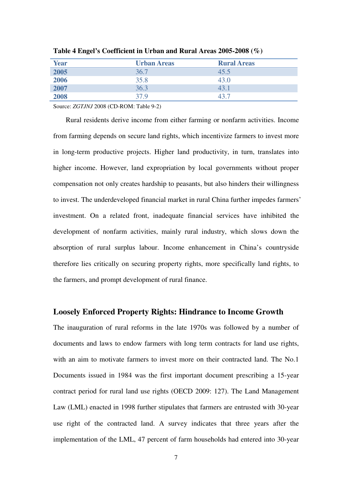| <b>Year</b> | <b>Urban Areas</b> | <b>Rural Areas</b> |
|-------------|--------------------|--------------------|
| 2005        | 36.7               | 45.5               |
| 2006        | 35.8               | 43.0               |
| 2007        | 36.3               | 43.1               |
| 2008        | 37.9               | 12 '               |

**Table 4 Engel's Coefficient in Urban and Rural Areas 2005-2008 (%)** 

Source: *ZGTJNJ* 2008 (CD-ROM: Table 9-2)

Rural residents derive income from either farming or nonfarm activities. Income from farming depends on secure land rights, which incentivize farmers to invest more in long-term productive projects. Higher land productivity, in turn, translates into higher income. However, land expropriation by local governments without proper compensation not only creates hardship to peasants, but also hinders their willingness to invest. The underdeveloped financial market in rural China further impedes farmers' investment. On a related front, inadequate financial services have inhibited the development of nonfarm activities, mainly rural industry, which slows down the absorption of rural surplus labour. Income enhancement in China's countryside therefore lies critically on securing property rights, more specifically land rights, to the farmers, and prompt development of rural finance.

### **Loosely Enforced Property Rights: Hindrance to Income Growth**

The inauguration of rural reforms in the late 1970s was followed by a number of documents and laws to endow farmers with long term contracts for land use rights, with an aim to motivate farmers to invest more on their contracted land. The No.1 Documents issued in 1984 was the first important document prescribing a 15-year contract period for rural land use rights (OECD 2009: 127). The Land Management Law (LML) enacted in 1998 further stipulates that farmers are entrusted with 30-year use right of the contracted land. A survey indicates that three years after the implementation of the LML, 47 percent of farm households had entered into 30-year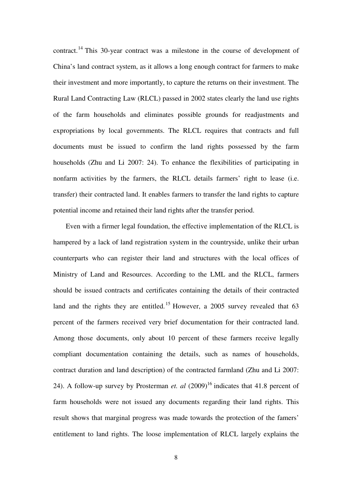contract.<sup>14</sup> This 30-year contract was a milestone in the course of development of China's land contract system, as it allows a long enough contract for farmers to make their investment and more importantly, to capture the returns on their investment. The Rural Land Contracting Law (RLCL) passed in 2002 states clearly the land use rights of the farm households and eliminates possible grounds for readjustments and expropriations by local governments. The RLCL requires that contracts and full documents must be issued to confirm the land rights possessed by the farm households (Zhu and Li 2007: 24). To enhance the flexibilities of participating in nonfarm activities by the farmers, the RLCL details farmers' right to lease (i.e. transfer) their contracted land. It enables farmers to transfer the land rights to capture potential income and retained their land rights after the transfer period.

Even with a firmer legal foundation, the effective implementation of the RLCL is hampered by a lack of land registration system in the countryside, unlike their urban counterparts who can register their land and structures with the local offices of Ministry of Land and Resources. According to the LML and the RLCL, farmers should be issued contracts and certificates containing the details of their contracted land and the rights they are entitled.<sup>15</sup> However, a 2005 survey revealed that  $63$ percent of the farmers received very brief documentation for their contracted land. Among those documents, only about 10 percent of these farmers receive legally compliant documentation containing the details, such as names of households, contract duration and land description) of the contracted farmland (Zhu and Li 2007: 24). A follow-up survey by Prosterman *et. al*  $(2009)^{16}$  indicates that 41.8 percent of farm households were not issued any documents regarding their land rights. This result shows that marginal progress was made towards the protection of the famers' entitlement to land rights. The loose implementation of RLCL largely explains the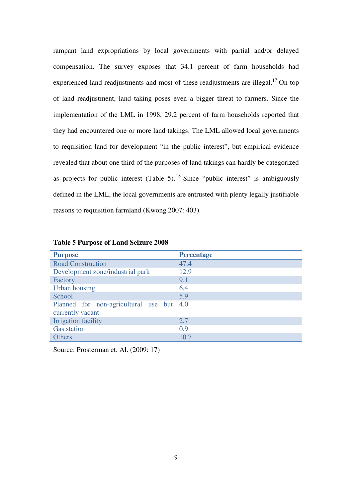rampant land expropriations by local governments with partial and/or delayed compensation. The survey exposes that 34.1 percent of farm households had experienced land readjustments and most of these readjustments are illegal.<sup>17</sup> On top of land readjustment, land taking poses even a bigger threat to farmers. Since the implementation of the LML in 1998, 29.2 percent of farm households reported that they had encountered one or more land takings. The LML allowed local governments to requisition land for development "in the public interest", but empirical evidence revealed that about one third of the purposes of land takings can hardly be categorized as projects for public interest (Table 5). <sup>18</sup> Since "public interest" is ambiguously defined in the LML, the local governments are entrusted with plenty legally justifiable reasons to requisition farmland (Kwong 2007: 403).

| <b>Purpose</b>                                               | <b>Percentage</b> |
|--------------------------------------------------------------|-------------------|
| <b>Road Construction</b>                                     | 47.4              |
| Development zone/industrial park                             | 12.9              |
| Factory                                                      | 9.1               |
| Urban housing                                                | 6.4               |
| School                                                       | 5.9               |
| Planned for non-agricultural use but 4.0<br>currently vacant |                   |
| Irrigation facility                                          | 2.7               |
| <b>Gas station</b>                                           | 0.9               |
| <b>Others</b>                                                | 10.7              |

**Table 5 Purpose of Land Seizure 2008** 

Source: Prosterman et. Al. (2009: 17)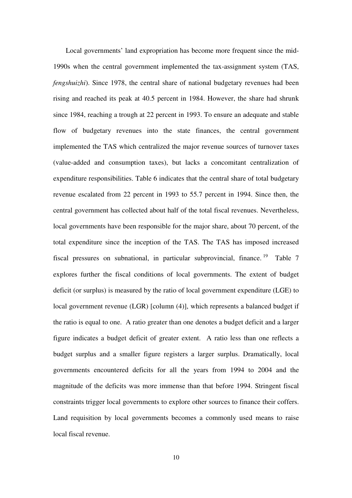Local governments' land expropriation has become more frequent since the mid-1990s when the central government implemented the tax-assignment system (TAS, *fengshuizhi*). Since 1978, the central share of national budgetary revenues had been rising and reached its peak at 40.5 percent in 1984. However, the share had shrunk since 1984, reaching a trough at 22 percent in 1993. To ensure an adequate and stable flow of budgetary revenues into the state finances, the central government implemented the TAS which centralized the major revenue sources of turnover taxes (value-added and consumption taxes), but lacks a concomitant centralization of expenditure responsibilities. Table 6 indicates that the central share of total budgetary revenue escalated from 22 percent in 1993 to 55.7 percent in 1994. Since then, the central government has collected about half of the total fiscal revenues. Nevertheless, local governments have been responsible for the major share, about 70 percent, of the total expenditure since the inception of the TAS. The TAS has imposed increased fiscal pressures on subnational, in particular subprovincial, finance. <sup>19</sup> Table 7 explores further the fiscal conditions of local governments. The extent of budget deficit (or surplus) is measured by the ratio of local government expenditure (LGE) to local government revenue (LGR) [column (4)], which represents a balanced budget if the ratio is equal to one. A ratio greater than one denotes a budget deficit and a larger figure indicates a budget deficit of greater extent. A ratio less than one reflects a budget surplus and a smaller figure registers a larger surplus. Dramatically, local governments encountered deficits for all the years from 1994 to 2004 and the magnitude of the deficits was more immense than that before 1994. Stringent fiscal constraints trigger local governments to explore other sources to finance their coffers. Land requisition by local governments becomes a commonly used means to raise local fiscal revenue.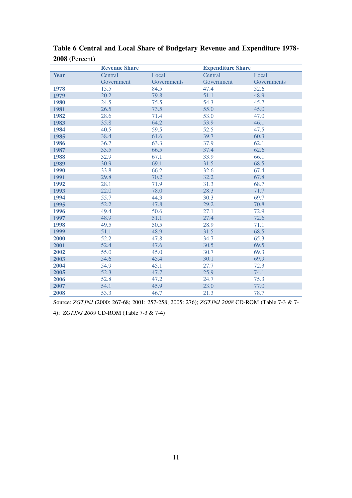|             | <b>Revenue Share</b> |             | <b>Expenditure Share</b> |             |
|-------------|----------------------|-------------|--------------------------|-------------|
| <b>Year</b> | Central              | Local       | Central                  | Local       |
|             | Government           | Governments | Government               | Governments |
| 1978        | 15.5                 | 84.5        | 47.4                     | 52.6        |
| 1979        | 20.2                 | 79.8        | 51.1                     | 48.9        |
| <b>1980</b> | 24.5                 | 75.5        | 54.3                     | 45.7        |
| 1981        | 26.5                 | 73.5        | 55.0                     | 45.0        |
| 1982        | 28.6                 | 71.4        | 53.0                     | 47.0        |
| 1983        | 35.8                 | 64.2        | 53.9                     | 46.1        |
| 1984        | 40.5                 | 59.5        | 52.5                     | 47.5        |
| 1985        | 38.4                 | 61.6        | 39.7                     | 60.3        |
| 1986        | 36.7                 | 63.3        | 37.9                     | 62.1        |
| 1987        | 33.5                 | 66.5        | 37.4                     | 62.6        |
| 1988        | 32.9                 | 67.1        | 33.9                     | 66.1        |
| 1989        | 30.9                 | 69.1        | 31.5                     | 68.5        |
| 1990        | 33.8                 | 66.2        | 32.6                     | 67.4        |
| 1991        | 29.8                 | 70.2        | 32.2                     | 67.8        |
| 1992        | 28.1                 | 71.9        | 31.3                     | 68.7        |
| 1993        | 22.0                 | 78.0        | 28.3                     | 71.7        |
| 1994        | 55.7                 | 44.3        | 30.3                     | 69.7        |
| 1995        | 52.2                 | 47.8        | 29.2                     | 70.8        |
| 1996        | 49.4                 | 50.6        | 27.1                     | 72.9        |
| 1997        | 48.9                 | 51.1        | 27.4                     | 72.6        |
| 1998        | 49.5                 | 50.5        | 28.9                     | 71.1        |
| 1999        | 51.1                 | 48.9        | 31.5                     | 68.5        |
| 2000        | 52.2                 | 47.8        | 34.7                     | 65.3        |
| 2001        | 52.4                 | 47.6        | 30.5                     | 69.5        |
| 2002        | 55.0                 | 45.0        | 30.7                     | 69.3        |
| 2003        | 54.6                 | 45.4        | 30.1                     | 69.9        |
| 2004        | 54.9                 | 45.1        | 27.7                     | 72.3        |
| 2005        | 52.3                 | 47.7        | 25.9                     | 74.1        |
| 2006        | 52.8                 | 47.2        | 24.7                     | 75.3        |
| 2007        | 54.1                 | 45.9        | 23.0                     | 77.0        |
| 2008        | 53.3                 | 46.7        | 21.3                     | 78.7        |

**Table 6 Central and Local Share of Budgetary Revenue and Expenditure 1978-** (Percent)

Source: *ZGTJNJ* (2000: 267-68; 2001: 257-258; 2005: 276); *ZGTJNJ 2008* CD-ROM (Table 7-3 & 7-

4); *ZGTJNJ 2009* CD-ROM (Table 7-3 & 7-4)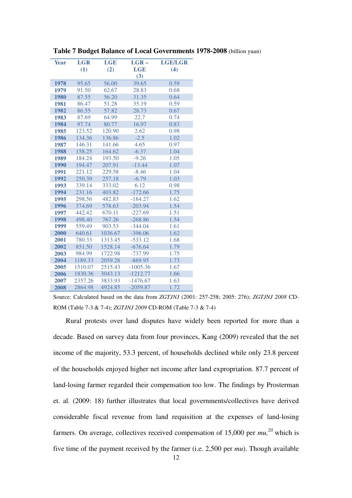| <b>Year</b> | <b>LGR</b> | <b>LGE</b> | $LGR -$    | <b>LGE/LGR</b> |
|-------------|------------|------------|------------|----------------|
|             | (1)        | (2)        | <b>LGE</b> | (4)            |
|             |            |            | (3)        |                |
| 1978        | 95.65      | 56.00      | 39.65      | 0.59           |
| 1979        | 91.50      | 62.67      | 28.83      | 0.68           |
| 1980        | 87.55      | 56.20      | 31.35      | 0.64           |
| 1981        | 86.47      | 51.28      | 35.19      | 0.59           |
| 1982        | 86.55      | 57.82      | 28.73      | 0.67           |
| 1983        | 87.69      | 64.99      | 22.7       | 0.74           |
| 1984        | 97.74      | 80.77      | 16.97      | 0.83           |
| 1985        | 123.52     | 120.90     | 2.62       | 0.98           |
| 1986        | 134.36     | 136.86     | $-2.5$     | 1.02           |
| 1987        | 146.31     | 141.66     | 4.65       | 0.97           |
| 1988        | 158.25     | 164.62     | $-6.37$    | 1.04           |
| 1989        | 184.24     | 193.50     | $-9.26$    | 1.05           |
| 1990        | 194.47     | 207.91     | $-13.44$   | 1.07           |
| 1991        | 221.12     | 229.58     | $-8.46$    | 1.04           |
| 1992        | 250.39     | 257.18     | $-6.79$    | 1.03           |
| 1993        | 339.14     | 333.02     | 6.12       | 0.98           |
| 1994        | 231.16     | 403.82     | $-172.66$  | 1.75           |
| 1995        | 298.56     | 482.83     | $-184.27$  | 1.62           |
| 1996        | 374.69     | 578.63     | $-203.94$  | 1.54           |
| 1997        | 442.42     | 670.11     | $-227.69$  | 1.51           |
| 1998        | 498.40     | 767.26     | $-268.86$  | 1.54           |
| 1999        | 559.49     | 903.53     | $-344.04$  | 1.61           |
| 2000        | 640.61     | 1036.67    | $-396.06$  | 1.62           |
| 2001        | 780.33     | 1313.45    | $-533.12$  | 1.68           |
| 2002        | 851.50     | 1528.14    | $-676.64$  | 1.79           |
| 2003        | 984.99     | 1722.98    | $-737.99$  | 1.75           |
| 2004        | 1189.33    | 2059.28    | $-869.95$  | 1.73           |
| 2005        | 1510.07    | 2515.43    | $-1005.36$ | 1.67           |
| 2006        | 1830.36    | 3043.13    | $-1212.77$ | 1.66           |
| 2007        | 2357.26    | 3833.93    | $-1476.67$ | 1.63           |
| 2008        | 2864.98    | 4924.85    | $-2059.87$ | 1.72           |

**Table 7 Budget Balance of Local Governments 1978-2008** (billion yuan)

Rural protests over land disputes have widely been reported for more than a decade. Based on survey data from four provinces, Kang (2009) revealed that the net income of the majority, 53.3 percent, of households declined while only 23.8 percent of the households enjoyed higher net income after land expropriation. 87.7 percent of land-losing farmer regarded their compensation too low. The findings by Prosterman et. al. (2009: 18) further illustrates that local governments/collectives have derived considerable fiscal revenue from land requisition at the expenses of land-losing farmers. On average, collectives received compensation of 15,000 per *mu, <sup>20</sup>* which is five time of the payment received by the farmer (i.e. 2,500 per *mu*). Though available

Source: Calculated based on the data from *ZGTJNJ* (2001: 257-258; 2005: 276); *ZGTJNJ 2008* CD-ROM (Table 7-3 & 7-4); *ZGTJNJ 2009* CD-ROM (Table 7-3 & 7-4)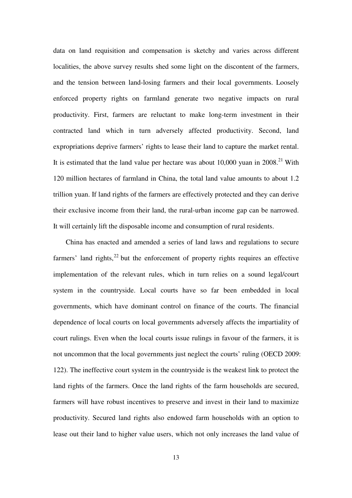data on land requisition and compensation is sketchy and varies across different localities, the above survey results shed some light on the discontent of the farmers, and the tension between land-losing farmers and their local governments. Loosely enforced property rights on farmland generate two negative impacts on rural productivity. First, farmers are reluctant to make long-term investment in their contracted land which in turn adversely affected productivity. Second, land expropriations deprive farmers' rights to lease their land to capture the market rental. It is estimated that the land value per hectare was about  $10,000$  yuan in  $2008.<sup>21</sup>$  With 120 million hectares of farmland in China, the total land value amounts to about 1.2 trillion yuan. If land rights of the farmers are effectively protected and they can derive their exclusive income from their land, the rural-urban income gap can be narrowed. It will certainly lift the disposable income and consumption of rural residents.

China has enacted and amended a series of land laws and regulations to secure farmers' land rights, $^{22}$  but the enforcement of property rights requires an effective implementation of the relevant rules, which in turn relies on a sound legal/court system in the countryside. Local courts have so far been embedded in local governments, which have dominant control on finance of the courts. The financial dependence of local courts on local governments adversely affects the impartiality of court rulings. Even when the local courts issue rulings in favour of the farmers, it is not uncommon that the local governments just neglect the courts' ruling (OECD 2009: 122). The ineffective court system in the countryside is the weakest link to protect the land rights of the farmers. Once the land rights of the farm households are secured, farmers will have robust incentives to preserve and invest in their land to maximize productivity. Secured land rights also endowed farm households with an option to lease out their land to higher value users, which not only increases the land value of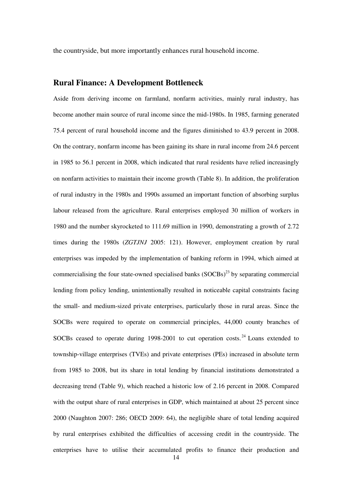the countryside, but more importantly enhances rural household income.

## **Rural Finance: A Development Bottleneck**

Aside from deriving income on farmland, nonfarm activities, mainly rural industry, has become another main source of rural income since the mid-1980s. In 1985, farming generated 75.4 percent of rural household income and the figures diminished to 43.9 percent in 2008. On the contrary, nonfarm income has been gaining its share in rural income from 24.6 percent in 1985 to 56.1 percent in 2008, which indicated that rural residents have relied increasingly on nonfarm activities to maintain their income growth (Table 8). In addition, the proliferation of rural industry in the 1980s and 1990s assumed an important function of absorbing surplus labour released from the agriculture. Rural enterprises employed 30 million of workers in 1980 and the number skyrocketed to 111.69 million in 1990, demonstrating a growth of 2.72 times during the 1980s (*ZGTJNJ* 2005: 121). However, employment creation by rural enterprises was impeded by the implementation of banking reform in 1994, which aimed at commercialising the four state-owned specialised banks  $(SOCBs)^{23}$  by separating commercial lending from policy lending, unintentionally resulted in noticeable capital constraints facing the small- and medium-sized private enterprises, particularly those in rural areas. Since the SOCBs were required to operate on commercial principles, 44,000 county branches of SOCBs ceased to operate during 1998-2001 to cut operation costs.<sup>24</sup> Loans extended to township-village enterprises (TVEs) and private enterprises (PEs) increased in absolute term from 1985 to 2008, but its share in total lending by financial institutions demonstrated a decreasing trend (Table 9), which reached a historic low of 2.16 percent in 2008. Compared with the output share of rural enterprises in GDP, which maintained at about 25 percent since 2000 (Naughton 2007: 286; OECD 2009: 64), the negligible share of total lending acquired by rural enterprises exhibited the difficulties of accessing credit in the countryside. The enterprises have to utilise their accumulated profits to finance their production and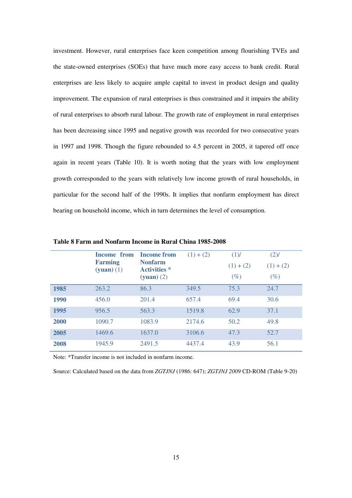investment. However, rural enterprises face keen competition among flourishing TVEs and the state-owned enterprises (SOEs) that have much more easy access to bank credit. Rural enterprises are less likely to acquire ample capital to invest in product design and quality improvement. The expansion of rural enterprises is thus constrained and it impairs the ability of rural enterprises to absorb rural labour. The growth rate of employment in rural enterprises has been decreasing since 1995 and negative growth was recorded for two consecutive years in 1997 and 1998. Though the figure rebounded to 4.5 percent in 2005, it tapered off once again in recent years (Table 10). It is worth noting that the years with low employment growth corresponded to the years with relatively low income growth of rural households, in particular for the second half of the 1990s. It implies that nonfarm employment has direct bearing on household income, which in turn determines the level of consumption.

|      | <b>Income from</b><br><b>Farming</b><br>$(yuan) (1)$ | <b>Income from</b><br><b>Nonfarm</b><br><b>Activities</b> *<br>$(yuan) (2)$ | $(1) + (2)$ | $(1)$ /<br>$(1) + (2)$<br>$(\%)$ | $(2)$ /<br>$(1) + (2)$<br>$(\%)$ |
|------|------------------------------------------------------|-----------------------------------------------------------------------------|-------------|----------------------------------|----------------------------------|
| 1985 | 263.2                                                | 86.3                                                                        | 349.5       | 75.3                             | 24.7                             |
| 1990 | 456.0                                                | 201.4                                                                       | 657.4       | 69.4                             | 30.6                             |
| 1995 | 956.5                                                | 563.3                                                                       | 1519.8      | 62.9                             | 37.1                             |
| 2000 | 1090.7                                               | 1083.9                                                                      | 2174.6      | 50.2                             | 49.8                             |
| 2005 | 1469.6                                               | 1637.0                                                                      | 3106.6      | 47.3                             | 52.7                             |
| 2008 | 1945.9                                               | 2491.5                                                                      | 4437.4      | 43.9                             | 56.1                             |

**Table 8 Farm and Nonfarm Income in Rural China 1985-2008** 

Note: \*Transfer income is not included in nonfarm income.

Source: Calculated based on the data from *ZGTJNJ* (1986: 647); *ZGTJNJ 2009* CD-ROM (Table 9-20)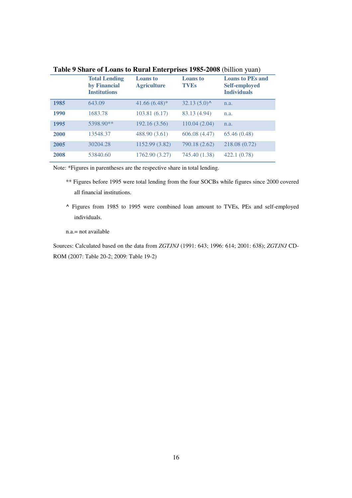|      | <b>Total Lending</b><br>by Financial<br><b>Institutions</b> | <b>Loans</b> to<br><b>Agriculture</b> | <b>Loans</b> to<br><b>TVEs</b> | <b>Loans to PEs and</b><br><b>Self-employed</b><br><b>Individuals</b> |
|------|-------------------------------------------------------------|---------------------------------------|--------------------------------|-----------------------------------------------------------------------|
| 1985 | 643.09                                                      | $41.66(6.48)$ *                       | $32.13(5.0)$ <sup>^</sup>      | n.a.                                                                  |
| 1990 | 1683.78                                                     | 103.81 (6.17)                         | 83.13 (4.94)                   | n.a.                                                                  |
| 1995 | 5398.90**                                                   | 192.16 (3.56)                         | 110.04(2.04)                   | n.a.                                                                  |
| 2000 | 13548.37                                                    | 488.90 (3.61)                         | 606.08 (4.47)                  | 65.46(0.48)                                                           |
| 2005 | 30204.28                                                    | 1152.99 (3.82)                        | 790.18 (2.62)                  | 218.08 (0.72)                                                         |
| 2008 | 53840.60                                                    | 1762.90 (3.27)                        | 745.40 (1.38)                  | 422.1 (0.78)                                                          |

**Table 9 Share of Loans to Rural Enterprises 1985-2008** (billion yuan)

Note: \*Figures in parentheses are the respective share in total lending.

- \*\* Figures before 1995 were total lending from the four SOCBs while figures since 2000 covered all financial institutions.
- **^** Figures from 1985 to 1995 were combined loan amount to TVEs, PEs and self-employed individuals.

n.a.= not available

Sources: Calculated based on the data from *ZGTJNJ* (1991: 643; 1996: 614; 2001: 638); *ZGTJNJ* CD-ROM (2007: Table 20-2; 2009: Table 19-2)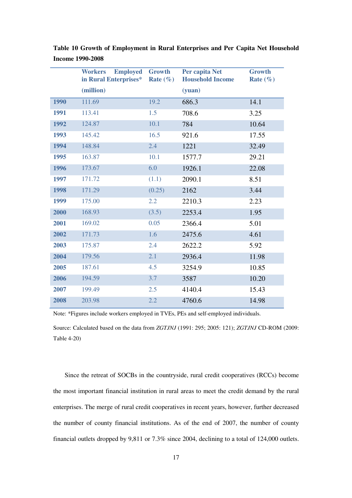|             | <b>Employed</b><br><b>Workers</b><br>in Rural Enterprises* | <b>Growth</b><br>Rate $(\% )$ | Per capita Net<br><b>Household Income</b> | <b>Growth</b><br>Rate $(\% )$ |
|-------------|------------------------------------------------------------|-------------------------------|-------------------------------------------|-------------------------------|
|             | (million)                                                  |                               | (yuan)                                    |                               |
| <b>1990</b> | 111.69                                                     | 19.2                          | 686.3                                     | 14.1                          |
| 1991        | 113.41                                                     | 1.5                           | 708.6                                     | 3.25                          |
| 1992        | 124.87                                                     | 10.1                          | 784                                       | 10.64                         |
| 1993        | 145.42                                                     | 16.5                          | 921.6                                     | 17.55                         |
| 1994        | 148.84                                                     | 2.4                           | 1221                                      | 32.49                         |
| 1995        | 163.87                                                     | 10.1                          | 1577.7                                    | 29.21                         |
| 1996        | 173.67                                                     | 6.0                           | 1926.1                                    | 22.08                         |
| 1997        | 171.72                                                     | (1.1)                         | 2090.1                                    | 8.51                          |
| 1998        | 171.29                                                     | (0.25)                        | 2162                                      | 3.44                          |
| 1999        | 175.00                                                     | $2.2^{\circ}$                 | 2210.3                                    | 2.23                          |
| 2000        | 168.93                                                     | (3.5)                         | 2253.4                                    | 1.95                          |
| 2001        | 169.02                                                     | 0.05                          | 2366.4                                    | 5.01                          |
| 2002        | 171.73                                                     | 1.6                           | 2475.6                                    | 4.61                          |
| 2003        | 175.87                                                     | 2.4                           | 2622.2                                    | 5.92                          |
| 2004        | 179.56                                                     | 2.1                           | 2936.4                                    | 11.98                         |
| 2005        | 187.61                                                     | 4.5                           | 3254.9                                    | 10.85                         |
| 2006        | 194.59                                                     | 3.7                           | 3587                                      | 10.20                         |
| 2007        | 199.49                                                     | 2.5                           | 4140.4                                    | 15.43                         |
| 2008        | 203.98                                                     | 2.2                           | 4760.6                                    | 14.98                         |

**Table 10 Growth of Employment in Rural Enterprises and Per Capita Net Household Income 1990-2008** 

Note: \*Figures include workers employed in TVEs, PEs and self-employed individuals.

Source: Calculated based on the data from *ZGTJNJ* (1991: 295; 2005: 121); *ZGTJNJ* CD-ROM (2009: Table 4-20)

Since the retreat of SOCBs in the countryside, rural credit cooperatives (RCCs) become the most important financial institution in rural areas to meet the credit demand by the rural enterprises. The merge of rural credit cooperatives in recent years, however, further decreased the number of county financial institutions. As of the end of 2007, the number of county financial outlets dropped by 9,811 or 7.3% since 2004, declining to a total of 124,000 outlets.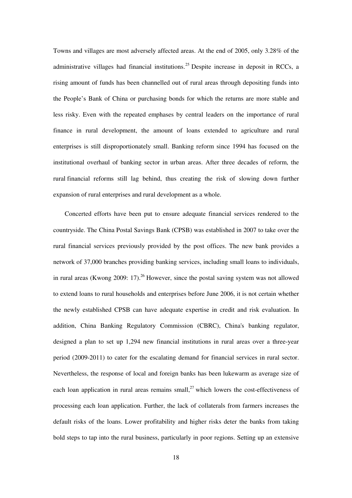Towns and villages are most adversely affected areas. At the end of 2005, only 3.28% of the administrative villages had financial institutions.<sup>25</sup> Despite increase in deposit in RCCs, a rising amount of funds has been channelled out of rural areas through depositing funds into the People's Bank of China or purchasing bonds for which the returns are more stable and less risky. Even with the repeated emphases by central leaders on the importance of rural finance in rural development, the amount of loans extended to agriculture and rural enterprises is still disproportionately small. Banking reform since 1994 has focused on the institutional overhaul of banking sector in urban areas. After three decades of reform, the rural financial reforms still lag behind, thus creating the risk of slowing down further expansion of rural enterprises and rural development as a whole.

Concerted efforts have been put to ensure adequate financial services rendered to the countryside. The China Postal Savings Bank (CPSB) was established in 2007 to take over the rural financial services previously provided by the post offices. The new bank provides a network of 37,000 branches providing banking services, including small loans to individuals, in rural areas (Kwong 2009: 17).<sup>26</sup> However, since the postal saving system was not allowed to extend loans to rural households and enterprises before June 2006, it is not certain whether the newly established CPSB can have adequate expertise in credit and risk evaluation. In addition, China Banking Regulatory Commission (CBRC), China's banking regulator, designed a plan to set up 1,294 new financial institutions in rural areas over a three-year period (2009-2011) to cater for the escalating demand for financial services in rural sector. Nevertheless, the response of local and foreign banks has been lukewarm as average size of each loan application in rural areas remains small,<sup>27</sup> which lowers the cost-effectiveness of processing each loan application. Further, the lack of collaterals from farmers increases the default risks of the loans. Lower profitability and higher risks deter the banks from taking bold steps to tap into the rural business, particularly in poor regions. Setting up an extensive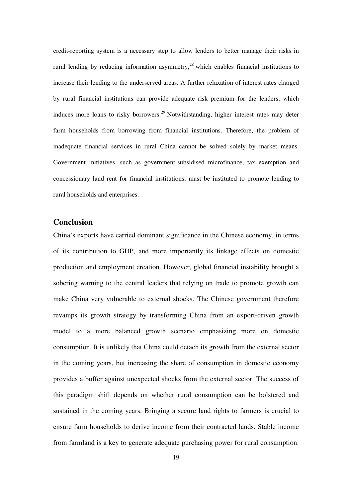credit-reporting system is a necessary step to allow lenders to better manage their risks in rural lending by reducing information asymmetry, $2<sup>8</sup>$  which enables financial institutions to increase their lending to the underserved areas. A further relaxation of interest rates charged by rural financial institutions can provide adequate risk premium for the lenders, which induces more loans to risky borrowers.<sup>29</sup> Notwithstanding, higher interest rates may deter farm households from borrowing from financial institutions. Therefore, the problem of inadequate financial services in rural China cannot be solved solely by market means. Government initiatives, such as government-subsidised microfinance, tax exemption and concessionary land rent for financial institutions, must be instituted to promote lending to rural households and enterprises.

## **Conclusion**

China's exports have carried dominant significance in the Chinese economy, in terms of its contribution to GDP, and more importantly its linkage effects on domestic production and employment creation. However, global financial instability brought a sobering warning to the central leaders that relying on trade to promote growth can make China very vulnerable to external shocks. The Chinese government therefore revamps its growth strategy by transforming China from an export-driven growth model to a more balanced growth scenario emphasizing more on domestic consumption. It is unlikely that China could detach its growth from the external sector in the coming years, but increasing the share of consumption in domestic economy provides a buffer against unexpected shocks from the external sector. The success of this paradigm shift depends on whether rural consumption can be bolstered and sustained in the coming years. Bringing a secure land rights to farmers is crucial to ensure farm households to derive income from their contracted lands. Stable income from farmland is a key to generate adequate purchasing power for rural consumption.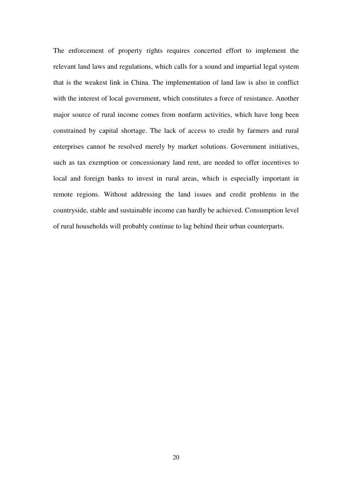The enforcement of property rights requires concerted effort to implement the relevant land laws and regulations, which calls for a sound and impartial legal system that is the weakest link in China. The implementation of land law is also in conflict with the interest of local government, which constitutes a force of resistance. Another major source of rural income comes from nonfarm activities, which have long been constrained by capital shortage. The lack of access to credit by farmers and rural enterprises cannot be resolved merely by market solutions. Government initiatives, such as tax exemption or concessionary land rent, are needed to offer incentives to local and foreign banks to invest in rural areas, which is especially important in remote regions. Without addressing the land issues and credit problems in the countryside, stable and sustainable income can hardly be achieved. Consumption level of rural households will probably continue to lag behind their urban counterparts.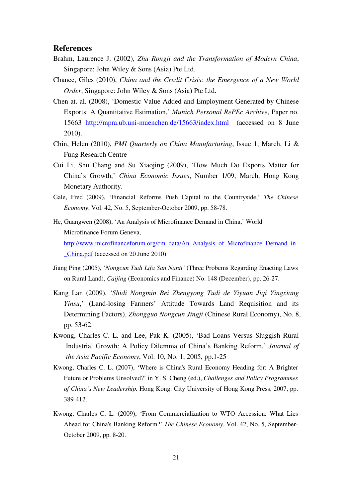#### **References**

- Brahm, Laurence J. (2002), *Zhu Rongji and the Transformation of Modern China*, Singapore: John Wiley & Sons (Asia) Pte Ltd.
- Chance, Giles (2010), *China and the Credit Crisis: the Emergence of a New World Order*, Singapore: John Wiley & Sons (Asia) Pte Ltd.
- Chen at. al. (2008), 'Domestic Value Added and Employment Generated by Chinese Exports: A Quantitative Estimation,' *Munich Personal RePEc Archive*, Paper no. 15663 http://mpra.ub.uni-muenchen.de/15663/index.html (accessed on 8 June 2010).
- Chin, Helen (2010), *PMI Quarterly on China Manufacturing*, Issue 1, March, Li & Fung Research Centre
- Cui Li, Shu Chang and Su Xiaojing (2009), 'How Much Do Exports Matter for China's Growth,' *China Economic Issues*, Number 1/09, March, Hong Kong Monetary Authority.
- Gale, Fred (2009), 'Financial Reforms Push Capital to the Countryside,' *The Chinese Economy*, Vol. 42, No. 5, September-October 2009, pp. 58-78.
- He, Guangwen (2008), 'An Analysis of Microfinance Demand in China,' World Microfinance Forum Geneva, http://www.microfinanceforum.org/cm\_data/An\_Analysis\_of\_Microfinance\_Demand\_in

\_China.pdf (accessed on 20 June 2010)

- Jiang Ping (2005), '*Nongcun Tudi Lifa San Nanti'* (Three Probems Regarding Enacting Laws on Rural Land), *Caijing* (Economics and Finance) No. 148 (December), pp. 26-27.
- Kang Lan (2009), '*Shidi Nongmin Bei Zhengyong Tudi de Yiyuan Jiqi Yingxiang Yinsu*,' (Land-losing Farmers' Attitude Towards Land Requisition and its Determining Factors), *Zhongguo Nongcun Jingji* (Chinese Rural Economy), No. 8, pp. 53-62.
- Kwong, Charles C. L. and Lee, Pak K. (2005), 'Bad Loans Versus Sluggish Rural Industrial Growth: A Policy Dilemma of China's Banking Reform,' *Journal of the Asia Pacific Economy*, Vol. 10, No. 1, 2005, pp.1-25
- Kwong, Charles C. L. (2007), 'Where is China's Rural Economy Heading for: A Brighter Future or Problems Unsolved?' in Y. S. Cheng (ed.), *Challenges and Policy Programmes of China's New Leadership.* Hong Kong: City University of Hong Kong Press, 2007, pp. 389-412.
- Kwong, Charles C. L. (2009), 'From Commercialization to WTO Accession: What Lies Ahead for China's Banking Reform?' *The Chinese Economy*, Vol. 42, No. 5, September-October 2009, pp. 8-20.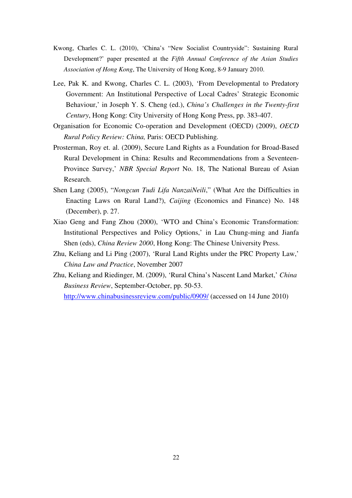- Kwong, Charles C. L. (2010), 'China's "New Socialist Countryside": Sustaining Rural Development?' paper presented at the *Fifth Annual Conference of the Asian Studies Association of Hong Kong*, The University of Hong Kong, 8-9 January 2010.
- Lee, Pak K. and Kwong, Charles C. L. (2003), 'From Developmental to Predatory Government: An Institutional Perspective of Local Cadres' Strategic Economic Behaviour,' in Joseph Y. S. Cheng (ed.), *China's Challenges in the Twenty-first Century*, Hong Kong: City University of Hong Kong Press, pp. 383-407.
- Organisation for Economic Co-operation and Development (OECD) (2009), *OECD Rural Policy Review: China,* Paris: OECD Publishing.
- Prosterman, Roy et. al. (2009), Secure Land Rights as a Foundation for Broad-Based Rural Development in China: Results and Recommendations from a Seventeen-Province Survey,' *NBR Special Report* No. 18, The National Bureau of Asian Research.
- Shen Lang (2005), "*Nongcun Tudi Lifa NanzaiNeili*," (What Are the Difficulties in Enacting Laws on Rural Land?), *Caijing* (Economics and Finance) No. 148 (December), p. 27.
- Xiao Geng and Fang Zhou (2000), 'WTO and China's Economic Transformation: Institutional Perspectives and Policy Options,' in Lau Chung-ming and Jianfa Shen (eds), *China Review 2000*, Hong Kong: The Chinese University Press.
- Zhu, Keliang and Li Ping (2007), 'Rural Land Rights under the PRC Property Law,' *China Law and Practice*, November 2007
- Zhu, Keliang and Riedinger, M. (2009), 'Rural China's Nascent Land Market,' *China Business Review*, September-October, pp. 50-53. http://www.chinabusinessreview.com/public/0909/ (accessed on 14 June 2010)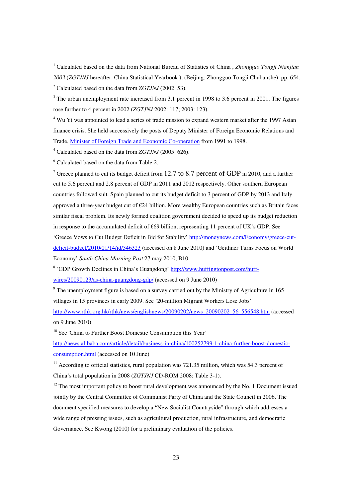5 Calculated based on the data from *ZGTJNJ* (2005: 626).

<sup>6</sup> Calculated based on the data from Table 2.

 $\overline{a}$ 

<sup>7</sup> Greece planned to cut its budget deficit from 12.7 to 8.7 percent of GDP in 2010, and a further cut to 5.6 percent and 2.8 percent of GDP in 2011 and 2012 respectively. Other southern European countries followed suit. Spain planned to cut its budget deficit to 3 percent of GDP by 2013 and Italy approved a three-year budget cut of €24 billion. More wealthy European countries such as Britain faces similar fiscal problem. Its newly formed coalition government decided to speed up its budget reduction in response to the accumulated deficit of £69 billion, representing 11 percent of UK's GDP. See

'Greece Vows to Cut Budget Deficit in Bid for Stability' http://moneynews.com/Economy/greece-cutdeficit-budget/2010/01/14/id/346323 (accessed on 8 June 2010) and 'Geithner Turns Focus on World Economy' *South China Morning Post* 27 may 2010, B10.

<sup>8</sup> 'GDP Growth Declines in China's Guangdong' http://www.huffingtonpost.com/huff-

wires/20090123/as-china-guangdong-gdp/ (accessed on 9 June 2010)

 $9^9$  The unemployment figure is based on a survey carried out by the Ministry of Agriculture in 165 villages in 15 provinces in early 2009. See '20-million Migrant Workers Lose Jobs'

http://www.rthk.org.hk/rthk/news/englishnews/20090202/news\_20090202\_56\_556548.htm (accessed on 9 June 2010)

 $10$  See 'China to Further Boost Domestic Consumption this Year'

http://news.alibaba.com/article/detail/business-in-china/100252799-1-china-further-boost-domesticconsumption.html (accessed on 10 June)

 $11$  According to official statistics, rural population was 721.35 million, which was 54.3 percent of China's total population in 2008 (*ZGTJNJ* CD-ROM 2008: Table 3-1).

 $12$  The most important policy to boost rural development was announced by the No. 1 Document issued jointly by the Central Committee of Communist Party of China and the State Council in 2006. The document specified measures to develop a "New Socialist Countryside" through which addresses a wide range of pressing issues, such as agricultural production, rural infrastructure, and democratic Governance. See Kwong (2010) for a preliminary evaluation of the policies.

<sup>1</sup> Calculated based on the data from National Bureau of Statistics of China , *Zhongguo Tongji Nianjian 2003* (*ZGTJNJ* hereafter, China Statistical Yearbook ), (Beijing: Zhongguo Tongji Chubanshe), pp. 654. 2 Calculated based on the data from *ZGTJNJ* (2002: 53).

 $3$  The urban unemployment rate increased from 3.1 percent in 1998 to 3.6 percent in 2001. The figures rose further to 4 percent in 2002 (*ZGTJNJ* 2002: 117; 2003: 123).

<sup>&</sup>lt;sup>4</sup> Wu Yi was appointed to lead a series of trade mission to expand western market after the 1997 Asian finance crisis. She held successively the posts of Deputy Minister of Foreign Economic Relations and Trade, Minister of Foreign Trade and Economic Co-operation from 1991 to 1998.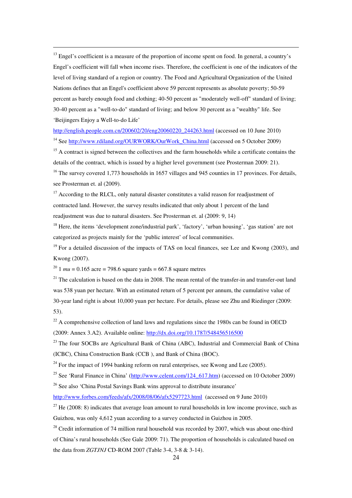<sup>13</sup> Engel's coefficient is a measure of the proportion of income spent on food. In general, a country's Engel's coefficient will fall when income rises. Therefore, the coefficient is one of the indicators of the level of living standard of a region or country. The Food and Agricultural Organization of the United Nations defines that an Engel's coefficient above 59 percent represents as absolute poverty; 50-59 percent as barely enough food and clothing; 40-50 percent as "moderately well-off" standard of living; 30-40 percent as a "well-to-do" standard of living; and below 30 percent as a "wealthy" life. See 'Beijingers Enjoy a Well-to-do Life'

http://english.people.com.cn/200602/20/eng20060220\_244263.html (accessed on 10 June 2010)

<sup>14</sup> See http://www.rdiland.org/OURWORK/OurWork\_China.html (accessed on 5 October 2009)

<sup>15</sup> A contract is signed between the collectives and the farm households while a certificate contains the details of the contract, which is issued by a higher level government (see Prosterman 2009: 21).

<sup>16</sup> The survey covered 1,773 households in 1657 villages and 945 counties in 17 provinces. For details, see Prosterman et. al (2009).

<sup>17</sup> According to the RLCL, only natural disaster constitutes a valid reason for readjustment of contracted land. However, the survey results indicated that only about 1 percent of the land readjustment was due to natural disasters. See Prosterman et. al (2009: 9, 14)

<sup>18</sup> Here, the items 'development zone/industrial park', 'factory', 'urban housing', 'gas station' are not categorized as projects mainly for the 'public interest' of local communities.

 $19$  For a detailed discussion of the impacts of TAS on local finances, see Lee and Kwong (2003), and Kwong (2007).

<sup>20</sup> 1  $mu = 0.165$  acre = 798.6 square yards = 667.8 square metres

 $\overline{a}$ 

 $21$  The calculation is based on the data in 2008. The mean rental of the transfer-in and transfer-out land was 538 yuan per hectare. With an estimated return of 5 percent per annum, the cumulative value of 30-year land right is about 10,000 yuan per hectare. For details, please see Zhu and Riedinger (2009: 53).

 $22$  A comprehensive collection of land laws and regulations since the 1980s can be found in OECD (2009: Annex 3.A2). Available online: http://dx.doi.org/10.1787/548456516500

 $23$  The four SOCBs are Agricultural Bank of China (ABC), Industrial and Commercial Bank of China (ICBC), China Construction Bank (CCB ), and Bank of China (BOC).

 $^{24}$  For the impact of 1994 banking reform on rural enterprises, see Kwong and Lee (2005).

<sup>25</sup> See 'Rural Finance in China' (http://www.celent.com/124\_617.htm) (accessed on 10 October 2009)

<sup>26</sup> See also 'China Postal Savings Bank wins approval to distribute insurance'

http://www.forbes.com/feeds/afx/2008/08/06/afx5297723.html (accessed on 9 June 2010)

 $^{27}$  He (2008: 8) indicates that average loan amount to rural households in low income province, such as Guizhou, was only 4,612 yuan according to a survey conducted in Guizhou in 2005.

 $28$  Credit information of 74 million rural household was recorded by 2007, which was about one-third of China's rural households (See Gale 2009: 71). The proportion of households is calculated based on the data from *ZGTJNJ* CD-ROM 2007 (Table 3-4, 3-8 & 3-14).